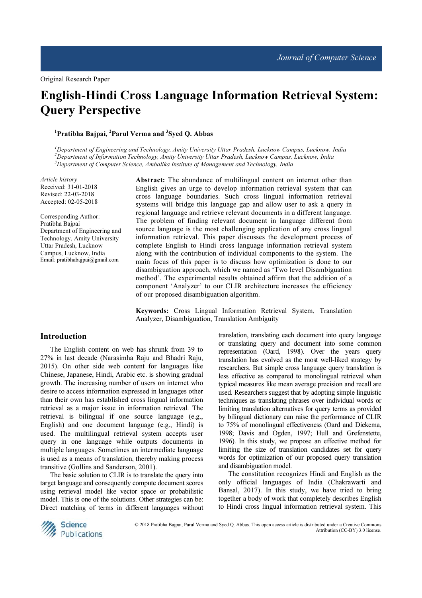# English-Hindi Cross Language Information Retrieval System: Query Perspective

 $^{1}$ Pratibha Bajpai, <sup>2</sup>Parul Verma and  $^{3}$ Syed Q. Abbas

 ${}^{1}$ Department of Engineering and Technology, Amity University Uttar Pradesh, Lucknow Campus, Lucknow, India  $2D$ epartment of Information Technology, Amity University Uttar Pradesh, Lucknow Campus, Lucknow, India  $3$ Department of Computer Science, Ambalika Institute of Management and Technology, India

Article history Received: 31-01-2018 Revised: 22-03-2018 Accepted: 02-05-2018

Corresponding Author: Pratibha Bajpai Department of Engineering and Technology, Amity University Uttar Pradesh, Lucknow Campus, Lucknow, India Email: pratibhabajpai@gmail.com

Abstract: The abundance of multilingual content on internet other than English gives an urge to develop information retrieval system that can cross language boundaries. Such cross lingual information retrieval systems will bridge this language gap and allow user to ask a query in regional language and retrieve relevant documents in a different language. The problem of finding relevant document in language different from source language is the most challenging application of any cross lingual information retrieval. This paper discusses the development process of complete English to Hindi cross language information retrieval system along with the contribution of individual components to the system. The main focus of this paper is to discuss how optimization is done to our disambiguation approach, which we named as 'Two level Disambiguation method'. The experimental results obtained affirm that the addition of a component 'Analyzer' to our CLIR architecture increases the efficiency of our proposed disambiguation algorithm.

Keywords: Cross Lingual Information Retrieval System, Translation Analyzer, Disambiguation, Translation Ambiguity

#### Introduction

The English content on web has shrunk from 39 to 27% in last decade (Narasimha Raju and Bhadri Raju, 2015). On other side web content for languages like Chinese, Japanese, Hindi, Arabic etc. is showing gradual growth. The increasing number of users on internet who desire to access information expressed in languages other than their own has established cross lingual information retrieval as a major issue in information retrieval. The retrieval is bilingual if one source language (e.g., English) and one document language (e.g., Hindi) is used. The multilingual retrieval system accepts user query in one language while outputs documents in multiple languages. Sometimes an intermediate language is used as a means of translation, thereby making process transitive (Gollins and Sanderson, 2001).

The basic solution to CLIR is to translate the query into target language and consequently compute document scores using retrieval model like vector space or probabilistic model. This is one of the solutions. Other strategies can be: Direct matching of terms in different languages without

translation, translating each document into query language or translating query and document into some common representation (Oard, 1998). Over the years query translation has evolved as the most well-liked strategy by researchers. But simple cross language query translation is less effective as compared to monolingual retrieval when typical measures like mean average precision and recall are used. Researchers suggest that by adopting simple linguistic techniques as translating phrases over individual words or limiting translation alternatives for query terms as provided by bilingual dictionary can raise the performance of CLIR to 75% of monolingual effectiveness (Oard and Diekema, 1998; Davis and Ogden, 1997; Hull and Grefenstette, 1996). In this study, we propose an effective method for limiting the size of translation candidates set for query words for optimization of our proposed query translation and disambiguation model.

The constitution recognizes Hindi and English as the only official languages of India (Chakrawarti and Bansal, 2017). In this study, we have tried to bring together a body of work that completely describes English to Hindi cross lingual information retrieval system. This



© 2018 Pratibha Bajpai, Parul Verma and Syed Q. Abbas. This open access article is distributed under a Creative Commons Attribution (CC-BY) 3.0 license.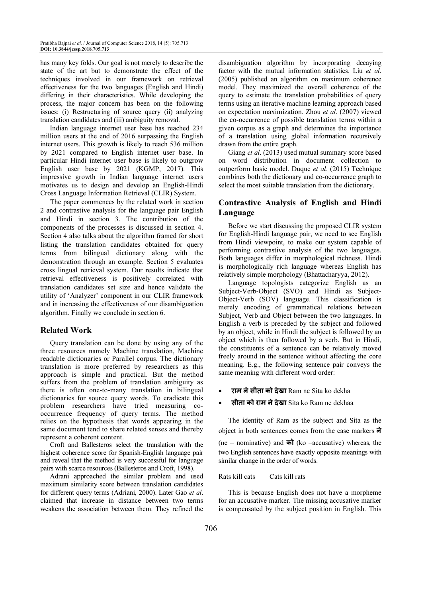has many key folds. Our goal is not merely to describe the state of the art but to demonstrate the effect of the techniques involved in our framework on retrieval effectiveness for the two languages (English and Hindi) differing in their characteristics. While developing the process, the major concern has been on the following issues: (i) Restructuring of source query (ii) analyzing translation candidates and (iii) ambiguity removal.

Indian language internet user base has reached 234 million users at the end of 2016 surpassing the English internet users. This growth is likely to reach 536 million by 2021 compared to English internet user base. In particular Hindi internet user base is likely to outgrow English user base by 2021 (KGMP, 2017). This impressive growth in Indian language internet users motivates us to design and develop an English-Hindi Cross Language Information Retrieval (CLIR) System.

The paper commences by the related work in section 2 and contrastive analysis for the language pair English and Hindi in section 3. The contribution of the components of the processes is discussed in section 4. Section 4 also talks about the algorithm framed for short listing the translation candidates obtained for query terms from bilingual dictionary along with the demonstration through an example. Section 5 evaluates cross lingual retrieval system. Our results indicate that retrieval effectiveness is positively correlated with translation candidates set size and hence validate the utility of 'Analyzer' component in our CLIR framework and in increasing the effectiveness of our disambiguation algorithm. Finally we conclude in section 6.

# Related Work

Query translation can be done by using any of the three resources namely Machine translation, Machine readable dictionaries or Parallel corpus. The dictionary translation is more preferred by researchers as this approach is simple and practical. But the method suffers from the problem of translation ambiguity as there is often one-to-many translation in bilingual dictionaries for source query words. To eradicate this problem researchers have tried measuring cooccurrence frequency of query terms. The method relies on the hypothesis that words appearing in the same document tend to share related senses and thereby represent a coherent content.

Croft and Ballesteros select the translation with the highest coherence score for Spanish-English language pair and reveal that the method is very successful for language pairs with scarce resources (Ballesteros and Croft, 1998).

Adrani approached the similar problem and used maximum similarity score between translation candidates for different query terms (Adriani, 2000). Later Gao et al. claimed that increase in distance between two terms weakens the association between them. They refined the

disambiguation algorithm by incorporating decaying factor with the mutual information statistics. Liu et al. (2005) published an algorithm on maximum coherence model. They maximized the overall coherence of the query to estimate the translation probabilities of query terms using an iterative machine learning approach based on expectation maximization. Zhou et al. (2007) viewed the co-occurrence of possible translation terms within a given corpus as a graph and determines the importance of a translation using global information recursively drawn from the entire graph.

Giang et al. (2013) used mutual summary score based on word distribution in document collection to outperform basic model. Duque et al. (2015) Technique combines both the dictionary and co-occurrence graph to select the most suitable translation from the dictionary.

# Contrastive Analysis of English and Hindi Language

Before we start discussing the proposed CLIR system for English-Hindi language pair, we need to see English from Hindi viewpoint, to make our system capable of performing contrastive analysis of the two languages. Both languages differ in morphological richness. Hindi is morphologically rich language whereas English has relatively simple morphology (Bhattacharyya, 2012).

Language topologists categorize English as an Subject-Verb-Object (SVO) and Hindi as Subject-Object-Verb (SOV) language. This classification is merely encoding of grammatical relations between Subject, Verb and Object between the two languages. In English a verb is preceded by the subject and followed by an object, while in Hindi the subject is followed by an object which is then followed by a verb. But in Hindi, the constituents of a sentence can be relatively moved freely around in the sentence without affecting the core meaning. E.g., the following sentence pair conveys the same meaning with different word order:

- राम ने सीता को देखा Ram ne Sita ko dekha
- सीता को राम ने देखा Sita ko Ram ne dekhaa

The identity of Ram as the subject and Sita as the object in both sentences comes from the case markers  $\vec{\theta}$  $(ne - nominative)$  and  $\overrightarrow{eh}$  (ko –accusative) whereas, the two English sentences have exactly opposite meanings with similar change in the order of words.

#### Rats kill cats Cats kill rats

This is because English does not have a morpheme for an accusative marker. The missing accusative marker is compensated by the subject position in English. This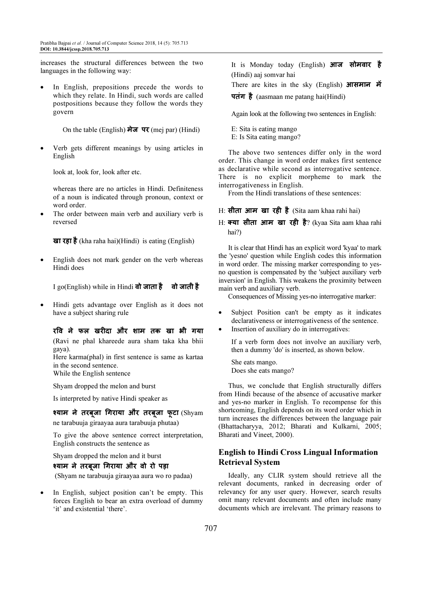increases the structural differences between the two languages in the following way:

In English, prepositions precede the words to which they relate. In Hindi, such words are called postpositions because they follow the words they govern

On the table (English) मेज पर (mei par) (Hindi)

• Verb gets different meanings by using articles in English

look at, look for, look after etc.

whereas there are no articles in Hindi. Definiteness of a noun is indicated through pronoun, context or word order.

The order between main verb and auxiliary verb is reversed

खा रहा है (kha raha hai)(Hindi) is eating (English)

• English does not mark gender on the verb whereas Hindi does

I go(English) while in Hindi वो जाता है वो जाती है

• Hindi gets advantage over English as it does not have a subject sharing rule

रवि ने फल खरीदा और शाम तक खा भी गया (Ravi ne phal khareede aura sham taka kha bhii gaya).

Here karma(phal) in first sentence is same as kartaa in the second sentence.

While the English sentence

Shyam dropped the melon and burst

Is interpreted by native Hindi speaker as

याम ने तरबूजा गराया और तरबूजा फूटा (Shyam ne tarabuuja giraayaa aura tarabuuja phutaa)

To give the above sentence correct interpretation, English constructs the sentence as

Shyam dropped the melon and it burst

# याम ने तरबूजा गराया और वो रो पड़ा

(Shyam ne tarabuuja giraayaa aura wo ro padaa)

In English, subject position can't be empty. This forces English to bear an extra overload of dummy 'it' and existential 'there'.

It is Monday today (English) आज सोमवार है (Hindi) aaj somvar hai

There are kites in the sky (English) **आसमान** में

पतंग है (aasmaan me patang hai(Hindi)

Again look at the following two sentences in English:

E: Sita is eating mango E: Is Sita eating mango?

The above two sentences differ only in the word order. This change in word order makes first sentence as declarative while second as interrogative sentence. There is no explicit morpheme to mark the interrogativeness in English.

From the Hindi translations of these sentences:

- H: सीता आम खा रह है (Sita aam khaa rahi hai)
- H: **क्या सीता आम खा रही है**? (kyaa Sita aam khaa rahi hai?)

It is clear that Hindi has an explicit word 'kyaa' to mark the 'yesno' question while English codes this information in word order. The missing marker corresponding to yesno question is compensated by the 'subject auxiliary verb inversion' in English. This weakens the proximity between main verb and auxiliary verb.

Consequences of Missing yes-no interrogative marker:

- Subject Position can't be empty as it indicates declarativeness or interrogativeness of the sentence.
- Insertion of auxiliary do in interrogatives:

If a verb form does not involve an auxiliary verb, then a dummy 'do' is inserted, as shown below.

She eats mango. Does she eats mango?

Thus, we conclude that English structurally differs from Hindi because of the absence of accusative marker and yes-no marker in English. To recompense for this shortcoming, English depends on its word order which in turn increases the differences between the language pair (Bhattacharyya, 2012; Bharati and Kulkarni, 2005; Bharati and Vineet, 2000).

# English to Hindi Cross Lingual Information Retrieval System

Ideally, any CLIR system should retrieve all the relevant documents, ranked in decreasing order of relevancy for any user query. However, search results omit many relevant documents and often include many documents which are irrelevant. The primary reasons to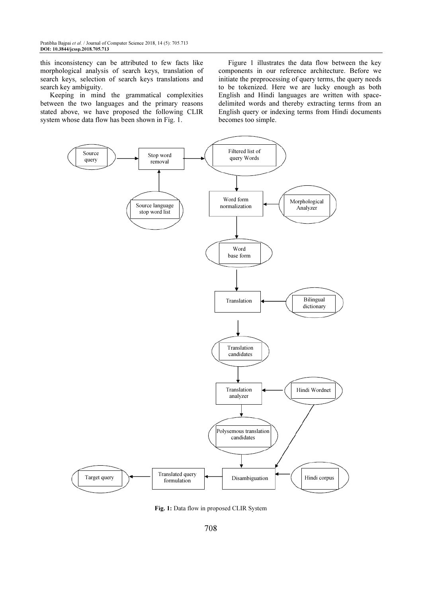this inconsistency can be attributed to few facts like morphological analysis of search keys, translation of search keys, selection of search keys translations and search key ambiguity.

Keeping in mind the grammatical complexities between the two languages and the primary reasons stated above, we have proposed the following CLIR system whose data flow has been shown in Fig. 1.

Figure 1 illustrates the data flow between the key components in our reference architecture. Before we initiate the preprocessing of query terms, the query needs to be tokenized. Here we are lucky enough as both English and Hindi languages are written with spacedelimited words and thereby extracting terms from an English query or indexing terms from Hindi documents becomes too simple.



Fig. 1: Data flow in proposed CLIR System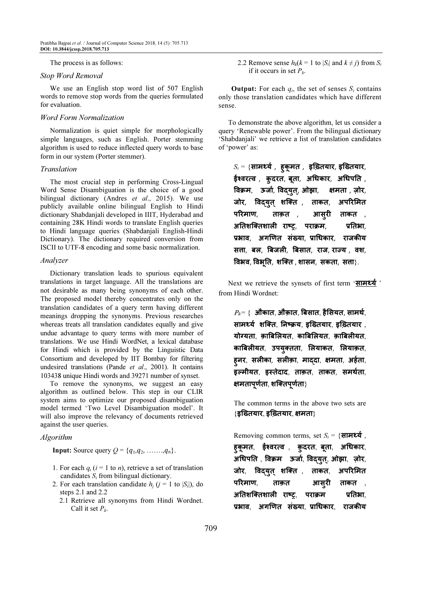#### The process is as follows:

#### Stop Word Removal

We use an English stop word list of 507 English words to remove stop words from the queries formulated for evaluation.

#### Word Form Normalization

Normalization is quiet simple for morphologically simple languages, such as English. Porter stemming algorithm is used to reduce inflected query words to base form in our system (Porter stemmer).

#### Translation

The most crucial step in performing Cross-Lingual Word Sense Disambiguation is the choice of a good bilingual dictionary (Andres et al., 2015). We use publicly available online bilingual English to Hindi dictionary Shabdanjali developed in IIIT, Hyderabad and containing 28K Hindi words to translate English queries to Hindi language queries (Shabdanjali English-Hindi Dictionary). The dictionary required conversion from ISCII to UTF-8 encoding and some basic normalization.

#### Analyzer

Dictionary translation leads to spurious equivalent translations in target language. All the translations are not desirable as many being synonyms of each other. The proposed model thereby concentrates only on the translation candidates of a query term having different meanings dropping the synonyms. Previous researches whereas treats all translation candidates equally and give undue advantage to query terms with more number of translations. We use Hindi WordNet, a lexical database for Hindi which is provided by the Linguistic Data Consortium and developed by IIT Bombay for filtering undesired translations (Pande et al., 2001). It contains 103438 unique Hindi words and 39271 number of synset.

To remove the synonyms, we suggest an easy algorithm as outlined below. This step in our CLIR system aims to optimize our proposed disambiguation model termed 'Two Level Disambiguation model'. It will also improve the relevancy of documents retrieved against the user queries.

#### Algorithm

**Input:** Source query  $Q = \{q_1, q_2, \ldots, q_n\}.$ 

- 1. For each  $q_i$  ( $i = 1$  to *n*), retrieve a set of translation candidates  $S_i$  from bilingual dictionary.
- 2. For each translation candidate  $h_j$  ( $j = 1$  to  $|S_i|$ ), do steps 2.1 and 2.2
	- 2.1 Retrieve all synonyms from Hindi Wordnet. Call it set  $P_k$ .

2.2 Remove sense  $h_k(k=1 \text{ to } |S_i| \text{ and } k \neq j)$  from  $S_i$ if it occurs in set  $P_k$ .

**Output:** For each  $q_i$ , the set of senses  $S_i$  contains only those translation candidates which have different sense.

To demonstrate the above algorithm, let us consider a query 'Renewable power'. From the bilingual dictionary 'Shabdanjali' we retrieve a list of translation candidates of 'power' as:

 $S_i$  = {सामर्थ्यं , हूकूमत , इख़्तियार, इख्तियार, ईश्वरत्व , क़ुदरत, बूता, अधिकार, अधिपति , विक्रम, ऊर्जा, विद्युत्, ओझा, क्षमता , ज़ोर, जोर, विद्युत् शक्ति , ताकत, अपरिमित परिमाण, ताक़त , आसरी ताकत अतिशक्तिशाली राष्ट्र, पराक्रम, प्रतिभा, प्रभाव, अगणित संख्या, प्राधिकार, राजकीय सत्ता, बल, बिजली, बिसात, राज,*राज्य* , वश, विभव, विभूति, शक्ति , शासन, सकता, सत्ता}.

Next we retrieve the synsets of first term 'सामर्थ्य' from Hindi Wordnet:

 $P_k$ = { औकात, औक़ात, बिसात, हैसियत, सामर्थ, सामर्थ्य शक्ति, निष्क्रय, इख्तियार, इख्तियार , योग्यता, क़ाबिलियत, कार्बिलियत, क़ाबिलीयत, काबिलीयत, उपयुक्तता, लियाकत, लियाक़त, हुनर, सलीका, सलीक़ा, माद्दा, क्षमता, अहेता, इल्मीयत, इस्तेदाद, ताक़त, ताकत, समर्थता, क्षमतापूर्णता, शक्तिपूर्णता}

The common terms in the above two sets are  $\{$ इंख्तियार, इंख्तियार, क्षमता $\}$ 

Removing common terms, set  $S_i = \{$ सामर्थ्य, हकमत, ईश्वरत्व , क़ुदरत, बूता, अधिकार, अधिपति , विक्रम ऊर्जा, विद्युत्, ओझा, ज़ोर, जोर, विद्युत् शक्ति , ताकत, अपरिमित परिमाण, ताक़त आस्**री**  ताकत , अतिशक्तिशाली राष्ट्र, पराक्रम प्रतिभा, प्रभाव, अगणित संख्या, प्राधिकार, राजकीय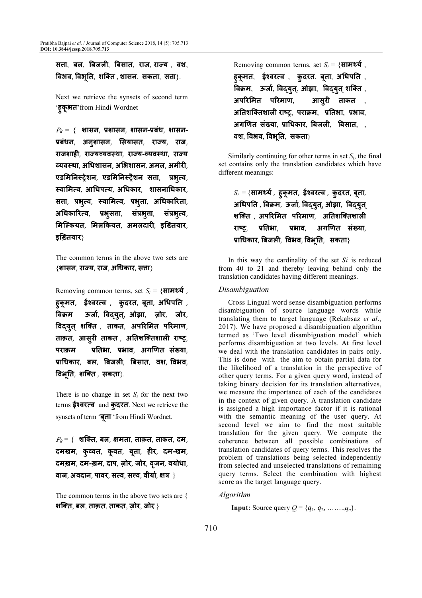सत्ता, बल, बिजली, बिसात, राज, राज्य , <mark>वश,</mark> विभव, विभूति, शक्ति , शासन, सकता, सत्ता}.

Next we retrieve the synsets of second term 'हुकूभत'from Hindi Wordnet

 $P_k = \{$  शासन, प्रशासन, शासन-प्रबंध, शासन-प्रबंधन, अनुशासन, सियासत, राज्य, राज, राजशाही, राज्यव्यवस्था, राज्य-व्यवस्था, राज्य व्यवस्था, अधिशासन, अभिशासन, अमल, अमेर<mark>ि</mark>, एडमिनिस्ट्रेशन, एडमिनिस्ट्रैशन सत्ता, प्रभुत्व, स्वामित्व, आधिपत्य, अधिकार, शासनाधिकार, सत्ता, प्रभुत्व, स्वामित्व, प्रभुता, अधिकारिता, अधिकारित्व, प्रभुसत्ता, संप्रभुता, संप्रभृत्व, मिल्कियत, मिलकियत, अमलदारी, <mark>इ</mark>ख्तियार, इख़्तियार}

The common terms in the above two sets are  ${9}$ शासन, राज्य, राज, अधिकार, सत्ता}

Removing common terms, set  $S_i = \{$ सामध्ये, ह़कूमत, ईश्वरत्व , क़ुदरत, बूता, अधिपति , विक्रम वेक्रम - ऊर्जा, विद्युत्, ओझा, ज़ोर, जोर, विद्युत् शक्ति , ताकत, अपरिमित परिमाण, ताक़त, आसुरी ताकत , अतिशक्तिशाली राष्ट्र, पराक्रम प्रतिभा, प्रभाव, अगणित संख्या, प्राधिकार, बल, बिजली, बिसात, वश, विभव, विभूति, शक्ति , सकता}.

There is no change in set  $S_i$  for the next two terms **ईश्वरत्व** and **क़ुदरत**. Next we retrieve the synsets of term 'बुता 'from Hindi Wordnet.

 $P_k = \{$  शक्ति, बल, क्षमता, ताक़त, ताकत, दम, दमखम, कुव्वत, कूवत, बूता, हीर, दम-खम, दमख़म, दम-ख़म, दाप, ज़ोर, जोर, वजनृ , वयोधा, वाज, अवदान, पावर, सत्व, सत्त्व, वीर्या, क्षत्र  $\,$  }

The common terms in the above two sets are { शक्ति, बल, ताक़त, ताकत, ज़ोर, जोर }

Removing common terms, set  $S_i = \{ \text{HIP} \times \text{H} \}$ , हुकूमत, ईश्वरत्व , क़ुदरत, बूता, अधिपति , विक्रम, ऊर्जा, विद्युत्, ओझा, विद्युत् शक्ति , अपरिमित परिमाण, आसुरी ताकत अतिशक्तिशाली राष्ट्र, पराक्रम, प्रतिभा, प्रभाव, अगणित संख्या, प्राधिकार, बिजली, बिसात, , वश, विभव, विभूति, सकता}

Similarly continuing for other terms in set  $S_i$ , the final set contains only the translation candidates which have different meanings:

 $\mathit{S_{i}}$  = {सामर्थ्य , हुकूमत, ईश्वरत्व , क़ुदरत, बूता, अधिपति , विक्रम, ऊर्जा, विद्युत्, ओझा, विद्युत् शक्ति , अपरिमित परिमाण, अतिशक्तिशाली <mark>,</mark> राष्ट, प्रतिभा, प्रभाव, अगणित संख्या, प्राधिकार, बिजली, विभव, विभूति, सकता}

In this way the cardinality of the set  $Si$  is reduced from 40 to 21 and thereby leaving behind only the translation candidates having different meanings.

## Disambiguation

Cross Lingual word sense disambiguation performs disambiguation of source language words while translating them to target language (Rekabsaz et al., 2017). We have proposed a disambiguation algorithm termed as 'Two level disambiguation model' which performs disambiguation at two levels. At first level we deal with the translation candidates in pairs only. This is done with the aim to obtain partial data for the likelihood of a translation in the perspective of other query terms. For a given query word, instead of taking binary decision for its translation alternatives, we measure the importance of each of the candidates in the context of given query. A translation candidate is assigned a high importance factor if it is rational with the semantic meaning of the user query. At second level we aim to find the most suitable translation for the given query. We compute the coherence between all possible combinations of translation candidates of query terms. This resolves the problem of translations being selected independently from selected and unselected translations of remaining query terms. Select the combination with highest score as the target language query.

## Algorithm

**Input:** Source query  $Q = \{q_1, q_2, \ldots, q_n\}.$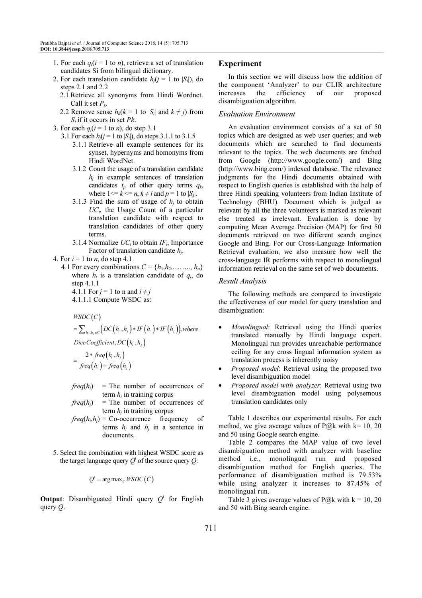- 1. For each  $q_i(i = 1 \text{ to } n)$ , retrieve a set of translation candidates Si from bilingual dictionary.
- 2. For each translation candidate  $h_j(j = 1$  to  $|S_i|$ ), do steps 2.1 and 2.2
	- 2.1 Retrieve all synonyms from Hindi Wordnet. Call it set  $P_k$ .
- 2.2 Remove sense  $h_k(k = 1$  to  $|S_i|$  and  $k \neq j$ ) from  $S_i$  if it occurs in set Pk.
	- 3. For each  $q_i(i = 1$  to *n*), do step 3.1
- 3.1 For each  $h_j(j = 1 \text{ to } |S_i|)$ , do steps 3.1.1 to 3.1.5 3.1.1 Retrieve all example sentences for its
	- synset, hypernyms and homonyms from Hindi WordNet.
	- 3.1.2 Count the usage of a translation candidate  $h_j$  in example sentences of translation candidates  $t_p$  of other query terms  $q_k$ , where  $1 \leq k \leq n, k \neq i$  and  $p = 1$  to  $|S_k|$ .
- 3.1.3 Find the sum of usage of  $h_j$  to obtain  $UC_i$ , the Usage Count of a particular translation candidate with respect to translation candidates of other query terms.
- 3.1.4 Normalize  $UC_i$  to obtain  $IF_i$ , Importance Factor of translation candidate  $h_j$ .
	- 4. For  $i = 1$  to *n*, do step 4.1
		- 4.1 For every combinations  $C = \{h_1, h_2, \ldots, h_n\}$ where  $h_i$  is a translation candidate of  $q_i$ , do step 4.1.1
			- 4.1.1 For  $j = 1$  to n and  $i \neq j$
			- 4.1.1.1 Compute WSDC as:

$$
\mathit{WSDC}(C)
$$

$$
= \sum_{h_i, h_j \in C} \Big( DC(h_i, h_j) * IF(h_i) * IF(h_j) \Big), where
$$
  
Dice Coefficient, DC(h\_i, h\_j)  

$$
= \frac{2 * freq(h_i, h_j)}{freq(h_i) + freq(h_j)}
$$

- $freq(h_i)$  = The number of occurrences of term  $h_i$  in training corpus
- $freq(h_i)$  = The number of occurrences of term  $h_j$  in training corpus
- $freq(h_i, h_j) = Co-occurrence$  frequency of terms  $h_i$  and  $h_j$  in a sentence in documents.
	- 5. Select the combination with highest WSDC score as the target language query  $Q'$  of the source query  $Q$ :

$$
Q' = \arg \max_{C} WSDC(C)
$$

**Output:** Disambiguated Hindi query  $Q^t$  for English query  $Q$ .

## Experiment

In this section we will discuss how the addition of the component 'Analyzer' to our CLIR architecture increases the efficiency of our proposed disambiguation algorithm.

## Evaluation Environment

An evaluation environment consists of a set of 50 topics which are designed as web user queries; and web documents which are searched to find documents relevant to the topics. The web documents are fetched from Google (http://www.google.com/) and Bing (http://www.bing.com/) indexed database. The relevance judgments for the Hindi documents obtained with respect to English queries is established with the help of three Hindi speaking volunteers from Indian Institute of Technology (BHU). Document which is judged as relevant by all the three volunteers is marked as relevant else treated as irrelevant. Evaluation is done by computing Mean Average Precision (MAP) for first 50 documents retrieved on two different search engines Google and Bing. For our Cross-Language Information Retrieval evaluation, we also measure how well the cross-language IR performs with respect to monolingual information retrieval on the same set of web documents.

#### Result Analysis

The following methods are compared to investigate the effectiveness of our model for query translation and disambiguation:

- Monolingual: Retrieval using the Hindi queries translated manually by Hindi language expert. Monolingual run provides unreachable performance ceiling for any cross lingual information system as translation process is inherently noisy
- Proposed model: Retrieval using the proposed two level disambiguation model
- Proposed model with analyzer: Retrieval using two level disambiguation model using polysemous translation candidates only

Table 1 describes our experimental results. For each method, we give average values of  $P@k$  with k= 10, 20 and 50 using Google search engine.

Table 2 compares the MAP value of two level disambiguation method with analyzer with baseline method i.e., monolingual run and proposed disambiguation method for English queries. The performance of disambiguation method is 79.53% while using analyzer it increases to 87.45% of monolingual run.

Table 3 gives average values of P@k with  $k = 10, 20$ and 50 with Bing search engine.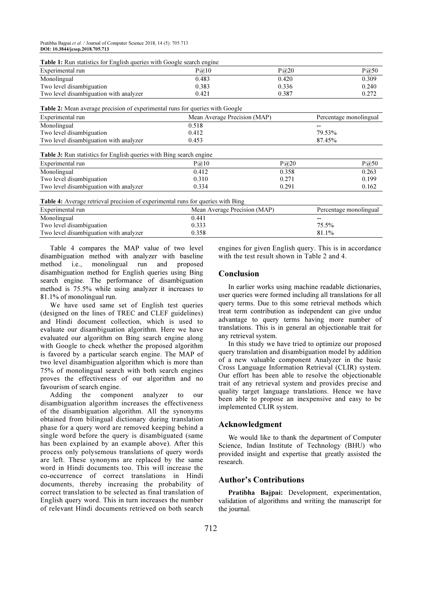Table 1: Run statistics for English queries with Google search engine

| Experimental run                       | P@10  | P@20  | P@50  |
|----------------------------------------|-------|-------|-------|
| Monolingual                            | 0.483 | 0.420 | 0.309 |
| Two level disambiguation               | 0.383 | 0.336 | 0.240 |
| Two level disambiguation with analyzer | 0.421 | 0.387 | 0.272 |
|                                        |       |       |       |

|  | <b>Table 2:</b> Mean average precision of experimental runs for queries with Google |  |  |  |  |  |  |
|--|-------------------------------------------------------------------------------------|--|--|--|--|--|--|
|--|-------------------------------------------------------------------------------------|--|--|--|--|--|--|

| Experimental run                       | Mean Average Precision (MAP) | Percentage monolingual |
|----------------------------------------|------------------------------|------------------------|
| Monolingual                            | 0.518                        | $- -$                  |
| Two level disambiguation               | 0.412                        | 79.53%                 |
| Two level disambiguation with analyzer | ).453                        | 87.45%                 |

Table 3: Run statistics for English queries with Bing search engine

| Experimental run                       | P@10  | P@20  | P(a, 50) |
|----------------------------------------|-------|-------|----------|
| Monolingual                            | 0.412 | 0.358 | 0.263    |
| Two level disambiguation               | 0.310 | 0.27  | 0.199    |
| Two level disambiguation with analyzer | ).334 | 0.291 | 0.162    |

Table 4: Average retrieval precision of experimental runs for queries with Bing

| Experimental run                       | Mean Average Precision (MAP) | Percentage monolingual |
|----------------------------------------|------------------------------|------------------------|
| Monolingual                            | 0.441                        | $- -$                  |
| Two level disambiguation               | 0.333                        | 75.5%                  |
| Two level disambiguation with analyzer | 0.358                        | 81.1%                  |

Table 4 compares the MAP value of two level disambiguation method with analyzer with baseline method i.e., monolingual run and proposed disambiguation method for English queries using Bing search engine. The performance of disambiguation method is 75.5% while using analyzer it increases to 81.1% of monolingual run.

We have used same set of English test queries (designed on the lines of TREC and CLEF guidelines) and Hindi document collection, which is used to evaluate our disambiguation algorithm. Here we have evaluated our algorithm on Bing search engine along with Google to check whether the proposed algorithm is favored by a particular search engine. The MAP of two level disambiguation algorithm which is more than 75% of monolingual search with both search engines proves the effectiveness of our algorithm and no favourism of search engine.

Adding the component analyzer to our disambiguation algorithm increases the effectiveness of the disambiguation algorithm. All the synonyms obtained from bilingual dictionary during translation phase for a query word are removed keeping behind a single word before the query is disambiguated (same has been explained by an example above). After this process only polysemous translations of query words are left. These synonyms are replaced by the same word in Hindi documents too. This will increase the co-occurrence of correct translations in Hindi documents, thereby increasing the probability of correct translation to be selected as final translation of English query word. This in turn increases the number of relevant Hindi documents retrieved on both search

engines for given English query. This is in accordance with the test result shown in Table 2 and 4.

## Conclusion

In earlier works using machine readable dictionaries, user queries were formed including all translations for all query terms. Due to this some retrieval methods which treat term contribution as independent can give undue advantage to query terms having more number of translations. This is in general an objectionable trait for any retrieval system.

In this study we have tried to optimize our proposed query translation and disambiguation model by addition of a new valuable component Analyzer in the basic Cross Language Information Retrieval (CLIR) system. Our effort has been able to resolve the objectionable trait of any retrieval system and provides precise and quality target language translations. Hence we have been able to propose an inexpensive and easy to be implemented CLIR system.

### Acknowledgment

We would like to thank the department of Computer Science, Indian Institute of Technology (BHU) who provided insight and expertise that greatly assisted the research.

## Author's Contributions

Pratibha Bajpai: Development, experimentation, validation of algorithms and writing the manuscript for the journal.